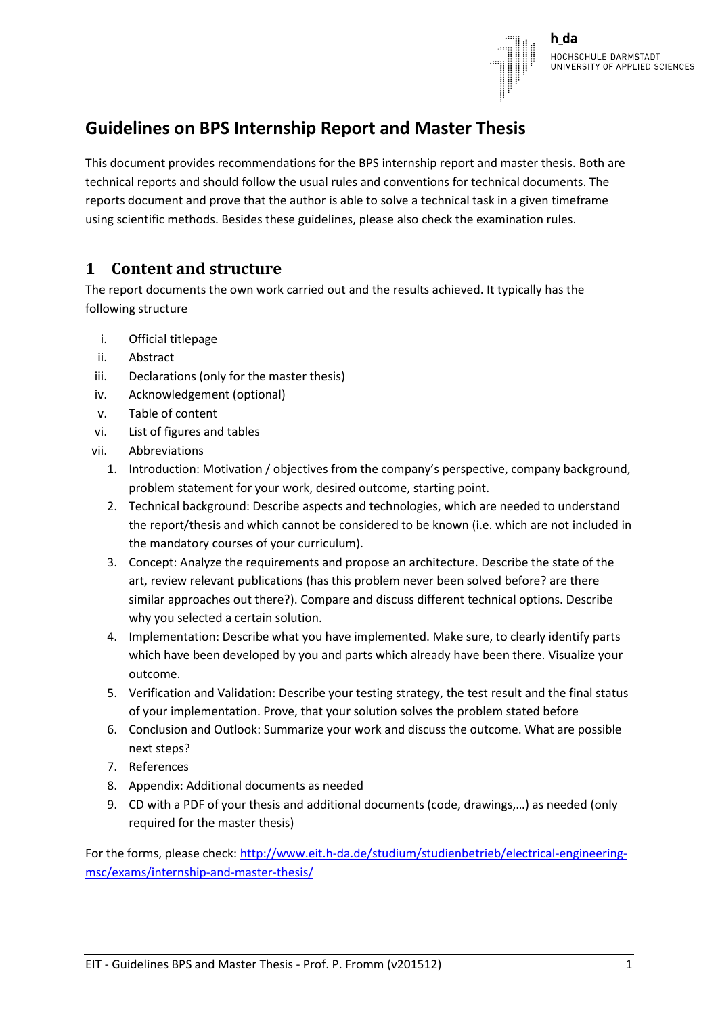

h da HOCHSCHULE DARMSTADT UNIVERSITY OF APPLIED SCIENCES

## **Guidelines on BPS Internship Report and Master Thesis**

This document provides recommendations for the BPS internship report and master thesis. Both are technical reports and should follow the usual rules and conventions for technical documents. The reports document and prove that the author is able to solve a technical task in a given timeframe using scientific methods. Besides these guidelines, please also check the examination rules.

## **1 Content and structure**

The report documents the own work carried out and the results achieved. It typically has the following structure

- i. Official titlepage
- ii. Abstract
- iii. Declarations (only for the master thesis)
- iv. Acknowledgement (optional)
- v. Table of content
- vi. List of figures and tables
- vii. Abbreviations
	- 1. Introduction: Motivation / objectives from the company's perspective, company background, problem statement for your work, desired outcome, starting point.
	- 2. Technical background: Describe aspects and technologies, which are needed to understand the report/thesis and which cannot be considered to be known (i.e. which are not included in the mandatory courses of your curriculum).
	- 3. Concept: Analyze the requirements and propose an architecture. Describe the state of the art, review relevant publications (has this problem never been solved before? are there similar approaches out there?). Compare and discuss different technical options. Describe why you selected a certain solution.
	- 4. Implementation: Describe what you have implemented. Make sure, to clearly identify parts which have been developed by you and parts which already have been there. Visualize your outcome.
	- 5. Verification and Validation: Describe your testing strategy, the test result and the final status of your implementation. Prove, that your solution solves the problem stated before
	- 6. Conclusion and Outlook: Summarize your work and discuss the outcome. What are possible next steps?
	- 7. References
	- 8. Appendix: Additional documents as needed
	- 9. CD with a PDF of your thesis and additional documents (code, drawings,…) as needed (only required for the master thesis)

For the forms, please check: [http://www.eit.h-da.de/studium/studienbetrieb/electrical-engineering](http://www.eit.h-da.de/studium/studienbetrieb/electrical-engineering-msc/exams/internship-and-master-thesis/)[msc/exams/internship-and-master-thesis/](http://www.eit.h-da.de/studium/studienbetrieb/electrical-engineering-msc/exams/internship-and-master-thesis/)